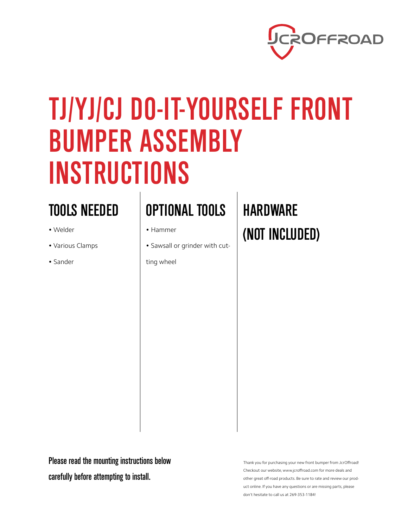

## TJ/YJ/CJ DO-IT-YOURSELF FRONT BUMPER ASSEMBLY INSTRUCTIONS

## TOOLS NEEDED

- Welder
- Various Clamps
- Sander

## OPTIONAL TOOLS HARDWARE

- Hammer
- Sawsall or grinder with cut-

ting wheel

# (NOT INCLUDED)

Please read the mounting instructions below carefully before attempting to install.

Thank you for purchasing your new front bumper from JcrOffroad! Checkout our website, www.jcroffroad.com for more deals and other great off-road products. Be sure to rate and review our product online. If you have any questions or are missing parts, please don't hesitate to call us at 269-353-1184!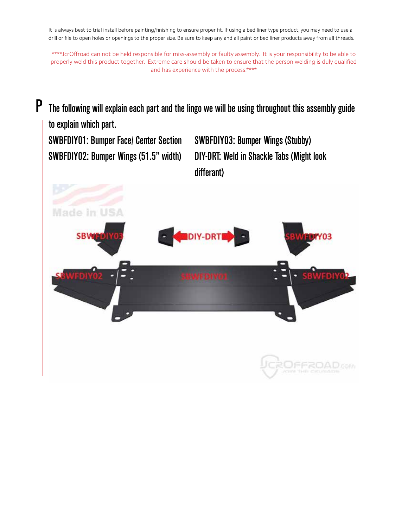It is always best to trial install before painting/finishing to ensure proper fit. If using a bed liner type product, you may need to use a drill or file to open holes or openings to the proper size. Be sure to keep any and all paint or bed liner products away from all threads.

\*\*\*\*JcrOffroad can not be held responsible for miss-assembly or faulty assembly. It is your responsibility to be able to properly weld this product together. Extreme care should be taken to ensure that the person welding is duly qualified and has experience with the process.\*\*\*\*

P The following will explain each part and the lingo we will be using throughout this assembly guide to explain which part. SWBFDIY01: Bumper Face/ Center Section SWBFDIY03: Bumper Wings (Stubby) SWBFDIY02: Bumper Wings (51.5" width) DIY-DRT: Weld in Shackle Tabs (Might look differant)ade in  $118A$ 

FFROA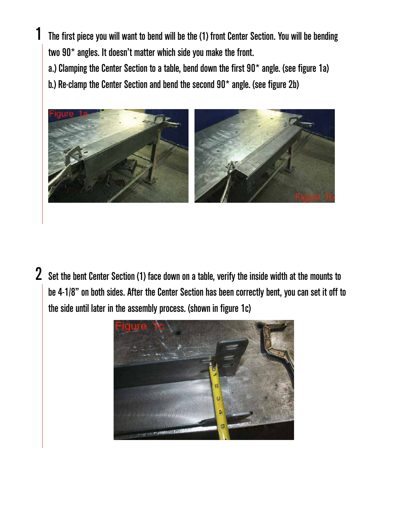The first piece you will want to bend will be the (1) front Center Section. You will be bending two 90\* angles. It doesn't matter which side you make the front. a.) Clamping the Center Section to a table, bend down the first 90\* angle. (see figure 1a)

b.) Re-clamp the Center Section and bend the second 90\* angle. (see figure 2b)

1



Set the bent Center Section (1) face down on a table, verify the inside width at the mounts to be 4-1/8" on both sides. After the Center Section has been correctly bent, you can set it off to the side until later in the assembly process. (shown in figure 1c) 2

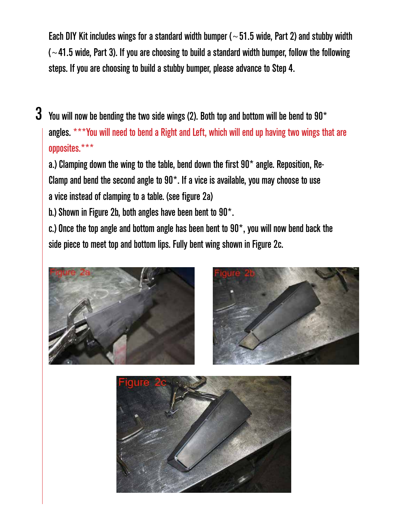Each DIY Kit includes wings for a standard width bumper ( $\sim$  51.5 wide, Part 2) and stubby width  $\sim$  41.5 wide, Part 3). If you are choosing to build a standard width bumper, follow the following steps. If you are choosing to build a stubby bumper, please advance to Step 4.

 $3\,$  You will now be bending the two side wings (2). Both top and bottom will be bend to 90\* angles. \*\*\*You will need to bend a Right and Left, which will end up having two wings that are opposites.\*\*\*

a.) Clamping down the wing to the table, bend down the first  $90<sup>*</sup>$  angle. Reposition, Re-Clamp and bend the second angle to  $90<sup>*</sup>$ . If a vice is available, you may choose to use a vice instead of clamping to a table. (see figure 2a)

b.) Shown in Figure 2b, both angles have been bent to 90\*.

c.) Once the top angle and bottom angle has been bent to  $90^*$ , you will now bend back the side piece to meet top and bottom lips. Fully bent wing shown in Figure 2c.



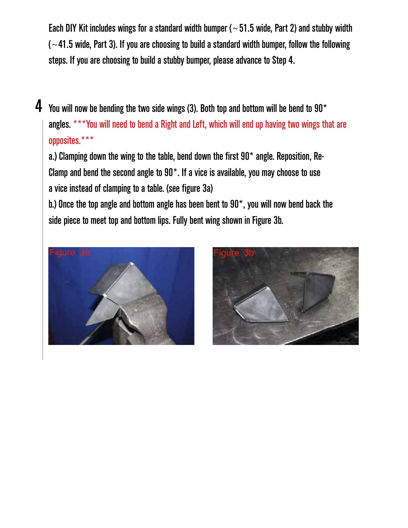Each DIY Kit includes wings for a standard width bumper ( $\sim$  51.5 wide, Part 2) and stubby width  $\sim$  41.5 wide, Part 3). If you are choosing to build a standard width bumper, follow the following steps. If you are choosing to build a stubby bumper, please advance to Step 4.

4 You will now be bending the two side wings (3). Both top and bottom will be bend to 90 $^{\star}$ angles. \*\*\*You will need to bend a Right and Left, which will end up having two wings that are opposites.\*\*\*

a.) Clamping down the wing to the table, bend down the first  $90<sup>*</sup>$  angle. Reposition, Re-Clamp and bend the second angle to  $90<sup>*</sup>$ . If a vice is available, you may choose to use a vice instead of clamping to a table. (see figure 3a)

b.) Once the top angle and bottom angle has been bent to 90\*, you will now bend back the side piece to meet top and bottom lips. Fully bent wing shown in Figure 3b.



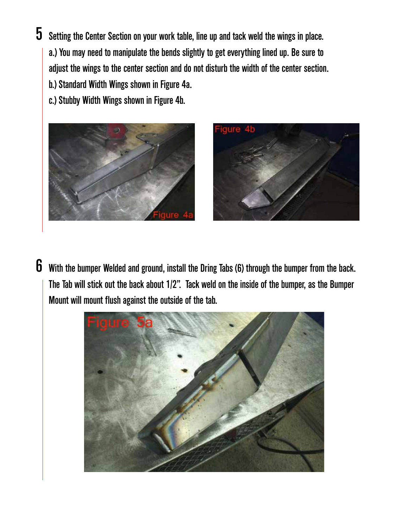### $\bf 5$  Setting the Center Section on your work table, line up and tack weld the wings in place. a.) You may need to manipulate the bends slightly to get everything lined up. Be sure to adjust the wings to the center section and do not disturb the width of the center section.

b.) Standard Width Wings shown in Figure 4a.

c.) Stubby Width Wings shown in Figure 4b.





 $6$  With the bumper Welded and ground, install the Dring Tabs (6) through the bumper from the back. The Tab will stick out the back about 1/2". Tack weld on the inside of the bumper, as the Bumper Mount will mount flush against the outside of the tab.

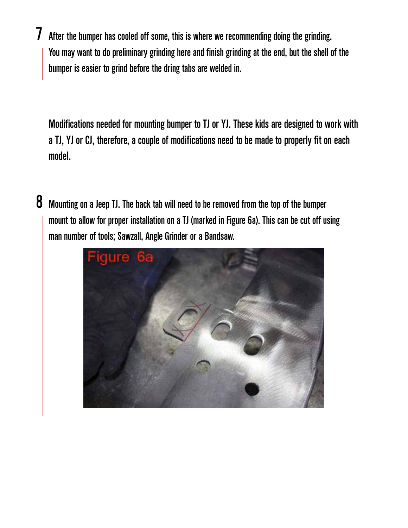After the bumper has cooled off some, this is where we recommending doing the grinding. You may want to do preliminary grinding here and finish grinding at the end, but the shell of the bumper is easier to grind before the dring tabs are welded in. 7

Modifications needed for mounting bumper to TJ or YJ. These kids are designed to work with a TJ, YJ or CJ, therefore, a couple of modifications need to be made to properly fit on each model.

 $8$  Mounting on a Jeep TJ. The back tab will need to be removed from the top of the bumper mount to allow for proper installation on a TJ (marked in Figure 6a). This can be cut off using man number of tools; Sawzall, Angle Grinder or a Bandsaw.

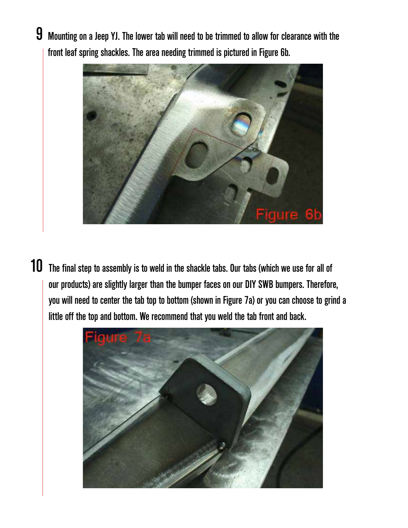$9$  Mounting on a Jeep YJ. The lower tab will need to be trimmed to allow for clearance with the front leaf spring shackles. The area needing trimmed is pictured in Figure 6b.



10 The final step to assembly is to weld in the shackle tabs. Our tabs (which we use for all of our products) are slightly larger than the bumper faces on our DIY SWB bumpers. Therefore, you will need to center the tab top to bottom (shown in Figure 7a) or you can choose to grind a little off the top and bottom. We recommend that you weld the tab front and back.